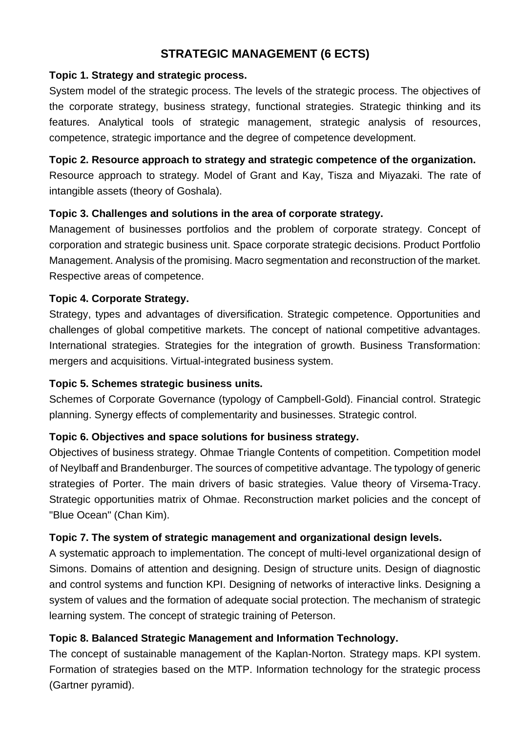# **STRATEGIC MANAGEMENT (6 ECTS)**

#### **Topic 1. Strategy and strategic process.**

System model of the strategic process. The levels of the strategic process. The objectives of the corporate strategy, business strategy, functional strategies. Strategic thinking and its features. Analytical tools of strategic management, strategic analysis of resources, competence, strategic importance and the degree of competence development.

#### **Topic 2. Resource approach to strategy and strategic competence of the organization.**

Resource approach to strategy. Model of Grant and Kay, Tisza and Miyazaki. The rate of intangible assets (theory of Goshala).

#### **Topic 3. Challenges and solutions in the area of corporate strategy.**

Management of businesses portfolios and the problem of corporate strategy. Concept of corporation and strategic business unit. Space corporate strategic decisions. Product Portfolio Management. Analysis of the promising. Macro segmentation and reconstruction of the market. Respective areas of competence.

#### **Topic 4. Corporate Strategy.**

Strategy, types and advantages of diversification. Strategic competence. Opportunities and challenges of global competitive markets. The concept of national competitive advantages. International strategies. Strategies for the integration of growth. Business Transformation: mergers and acquisitions. Virtual-integrated business system.

#### **Topic 5. Schemes strategic business units.**

Schemes of Corporate Governance (typology of Campbell-Gold). Financial control. Strategic planning. Synergy effects of complementarity and businesses. Strategic control.

## **Topic 6. Objectives and space solutions for business strategy.**

Objectives of business strategy. Ohmae Triangle Contents of competition. Competition model of Neylbaff and Brandenburger. The sources of competitive advantage. The typology of generic strategies of Porter. The main drivers of basic strategies. Value theory of Virsema-Tracy. Strategic opportunities matrix of Ohmae. Reconstruction market policies and the concept of "Blue Ocean" (Chan Kim).

## **Topic 7. The system of strategic management and organizational design levels.**

A systematic approach to implementation. The concept of multi-level organizational design of Simons. Domains of attention and designing. Design of structure units. Design of diagnostic and control systems and function KPI. Designing of networks of interactive links. Designing a system of values and the formation of adequate social protection. The mechanism of strategic learning system. The concept of strategic training of Peterson.

## **Topic 8. Balanced Strategic Management and Information Technology.**

The concept of sustainable management of the Kaplan-Norton. Strategy maps. KPI system. Formation of strategies based on the MTP. Information technology for the strategic process (Gartner pyramid).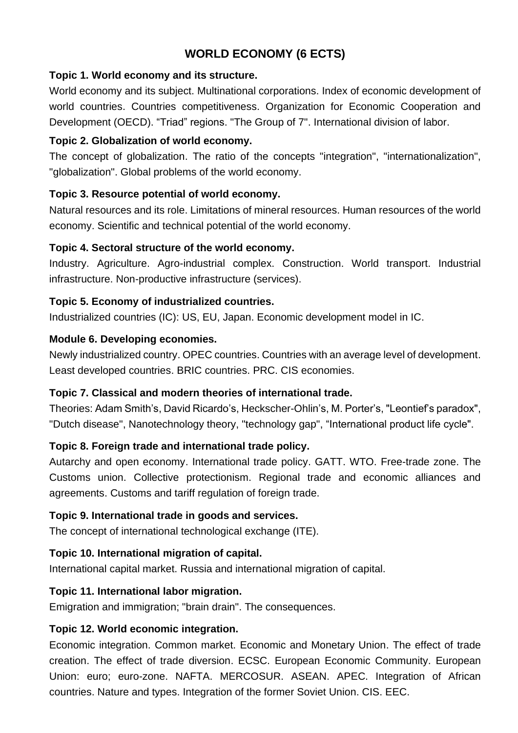# **WORLD ECONOMY (6 ECTS)**

#### **Topic 1. World economy and its structure.**

World economy and its subject. Multinational corporations. Index of economic development of world countries. Countries competitiveness. Organization for Economic Cooperation and Development (OECD). "Triad" regions. "The Group of 7". International division of labor.

#### **Topic 2. Globalization of world economy.**

The concept of globalization. The ratio of the concepts "integration", "internationalization", "globalization". Global problems of the world economy.

## **Topic 3. Resource potential of world economy.**

Natural resources and its role. Limitations of mineral resources. Human resources of the world economy. Scientific and technical potential of the world economy.

#### **Topic 4. Sectoral structure of the world economy.**

Industry. Agriculture. Agro-industrial complex. Construction. World transport. Industrial infrastructure. Non-productive infrastructure (services).

#### **Topic 5. Economy of industrialized countries.**

Industrialized countries (IC): US, EU, Japan. Economic development model in IC.

#### **Module 6. Developing economies.**

Newly industrialized country. OPEC countries. Countries with an average level of development. Least developed countries. BRIC countries. PRC. CIS economies.

## **Topic 7. Classical and modern theories of international trade.**

Theories: Adam Smith's, David Ricardo's, Heckscher-Ohlin's, M. Porter's, "Leontief's paradox", "Dutch disease", Nanotechnology theory, "technology gap", "International product life cycle".

## **Topic 8. Foreign trade and international trade policy.**

Autarchy and open economy. International trade policy. GATT. WTO. Free-trade zone. The Customs union. Collective protectionism. Regional trade and economic alliances and agreements. Customs and tariff regulation of foreign trade.

## **Topic 9. International trade in goods and services.**

The concept of international technological exchange (ITE).

## **Topic 10. International migration of capital.**

International capital market. Russia and international migration of capital.

## **Topic 11. International labor migration.**

Emigration and immigration; "brain drain". The consequences.

## **Topic 12. World economic integration.**

Economic integration. Common market. Economic and Monetary Union. The effect of trade creation. The effect of trade diversion. ECSC. European Economic Community. European Union: euro; euro-zone. NAFTA. MERCOSUR. ASEAN. APEC. Integration of African countries. Nature and types. Integration of the former Soviet Union. CIS. EEC.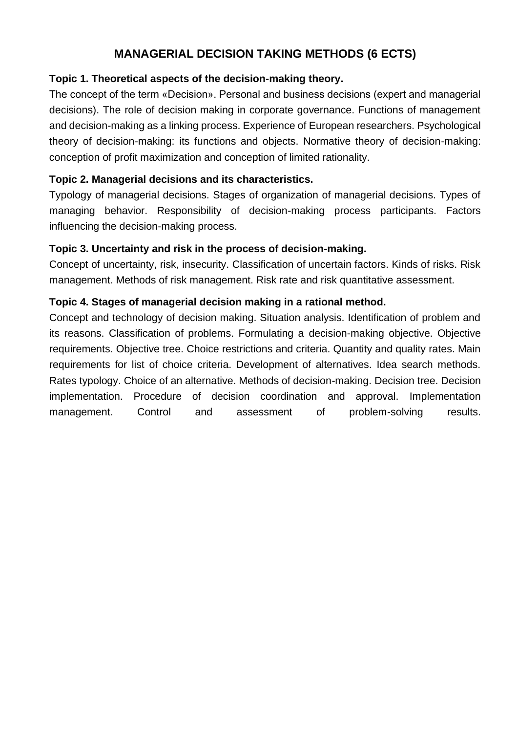# **MANAGERIAL DECISION TAKING METHODS (6 ECTS)**

#### **Topic 1. Theoretical aspects of the decision-making theory.**

The concept of the term «Decision». Personal and business decisions (expert and managerial decisions). The role of decision making in corporate governance. Functions of management and decision-making as a linking process. Experience of European researchers. Psychological theory of decision-making: its functions and objects. Normative theory of decision-making: conception of profit maximization and conception of limited rationality.

#### **Topic 2. Managerial decisions and its characteristics.**

Typology of managerial decisions. Stages of organization of managerial decisions. Types of managing behavior. Responsibility of decision-making process participants. Factors influencing the decision-making process.

#### **Topic 3. Uncertainty and risk in the process of decision-making.**

Concept of uncertainty, risk, insecurity. Classification of uncertain factors. Kinds of risks. Risk management. Methods of risk management. Risk rate and risk quantitative assessment.

#### **Topic 4. Stages of managerial decision making in a rational method.**

Concept and technology of decision making. Situation analysis. Identification of problem and its reasons. Classification of problems. Formulating a decision-making objective. Objective requirements. Objective tree. Choice restrictions and criteria. Quantity and quality rates. Main requirements for list of choice criteria. Development of alternatives. Idea search methods. Rates typology. Choice of an alternative. Methods of decision-making. Decision tree. Decision implementation. Procedure of decision coordination and approval. Implementation management. Control and assessment of problem-solving results.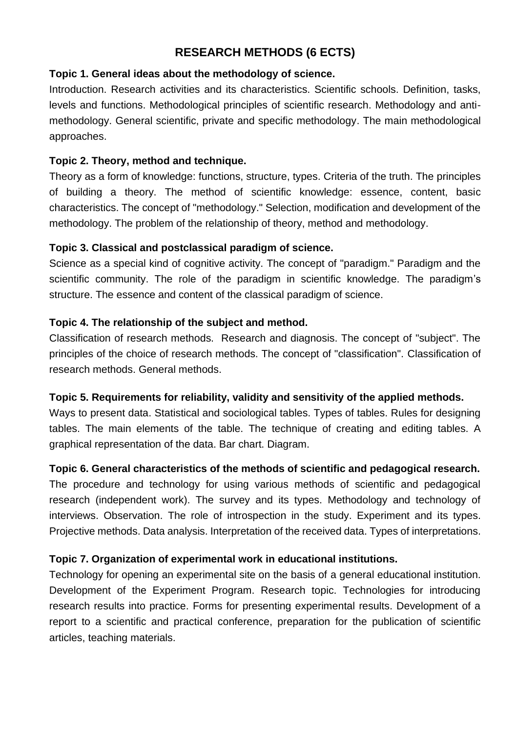# **RESEARCH METHODS (6 ECTS)**

#### **Topic 1. General ideas about the methodology of science.**

Introduction. Research activities and its characteristics. Scientific schools. Definition, tasks, levels and functions. Methodological principles of scientific research. Methodology and antimethodology. General scientific, private and specific methodology. The main methodological approaches.

#### **Topic 2. Theory, method and technique.**

Theory as a form of knowledge: functions, structure, types. Criteria of the truth. The principles of building a theory. The method of scientific knowledge: essence, content, basic characteristics. The concept of "methodology." Selection, modification and development of the methodology. The problem of the relationship of theory, method and methodology.

#### **Topic 3. Classical and postclassical paradigm of science.**

Science as a special kind of cognitive activity. The concept of "paradigm." Paradigm and the scientific community. The role of the paradigm in scientific knowledge. The paradigm's structure. The essence and content of the classical paradigm of science.

#### **Topic 4. The relationship of the subject and method.**

Classification of research methods. Research and diagnosis. The concept of "subject". The principles of the choice of research methods. The concept of "classification". Classification of research methods. General methods.

#### **Topic 5. Requirements for reliability, validity and sensitivity of the applied methods.**

Ways to present data. Statistical and sociological tables. Types of tables. Rules for designing tables. The main elements of the table. The technique of creating and editing tables. A graphical representation of the data. Bar chart. Diagram.

## **Topic 6. General characteristics of the methods of scientific and pedagogical research.**

The procedure and technology for using various methods of scientific and pedagogical research (independent work). The survey and its types. Methodology and technology of interviews. Observation. The role of introspection in the study. Experiment and its types. Projective methods. Data analysis. Interpretation of the received data. Types of interpretations.

## **Topic 7. Organization of experimental work in educational institutions.**

Technology for opening an experimental site on the basis of a general educational institution. Development of the Experiment Program. Research topic. Technologies for introducing research results into practice. Forms for presenting experimental results. Development of a report to a scientific and practical conference, preparation for the publication of scientific articles, teaching materials.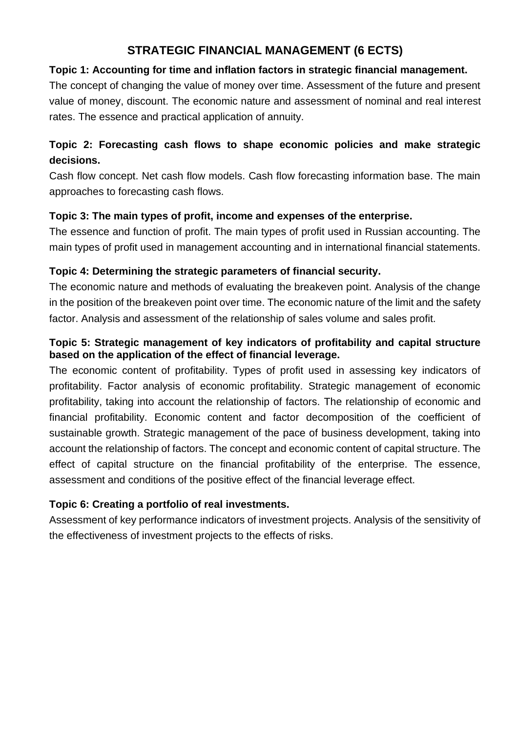# **STRATEGIC FINANCIAL MANAGEMENT (6 ECTS)**

## **Topic 1: Accounting for time and inflation factors in strategic financial management.**

The concept of changing the value of money over time. Assessment of the future and present value of money, discount. The economic nature and assessment of nominal and real interest rates. The essence and practical application of annuity.

# **Topic 2: Forecasting cash flows to shape economic policies and make strategic decisions.**

Cash flow concept. Net cash flow models. Cash flow forecasting information base. The main approaches to forecasting cash flows.

## **Topic 3: The main types of profit, income and expenses of the enterprise.**

The essence and function of profit. The main types of profit used in Russian accounting. The main types of profit used in management accounting and in international financial statements.

# **Topic 4: Determining the strategic parameters of financial security.**

The economic nature and methods of evaluating the breakeven point. Analysis of the change in the position of the breakeven point over time. The economic nature of the limit and the safety factor. Analysis and assessment of the relationship of sales volume and sales profit.

## **Topic 5: Strategic management of key indicators of profitability and capital structure based on the application of the effect of financial leverage.**

The economic content of profitability. Types of profit used in assessing key indicators of profitability. Factor analysis of economic profitability. Strategic management of economic profitability, taking into account the relationship of factors. The relationship of economic and financial profitability. Economic content and factor decomposition of the coefficient of sustainable growth. Strategic management of the pace of business development, taking into account the relationship of factors. The concept and economic content of capital structure. The effect of capital structure on the financial profitability of the enterprise. The essence, assessment and conditions of the positive effect of the financial leverage effect.

## **Topic 6: Creating a portfolio of real investments.**

Assessment of key performance indicators of investment projects. Analysis of the sensitivity of the effectiveness of investment projects to the effects of risks.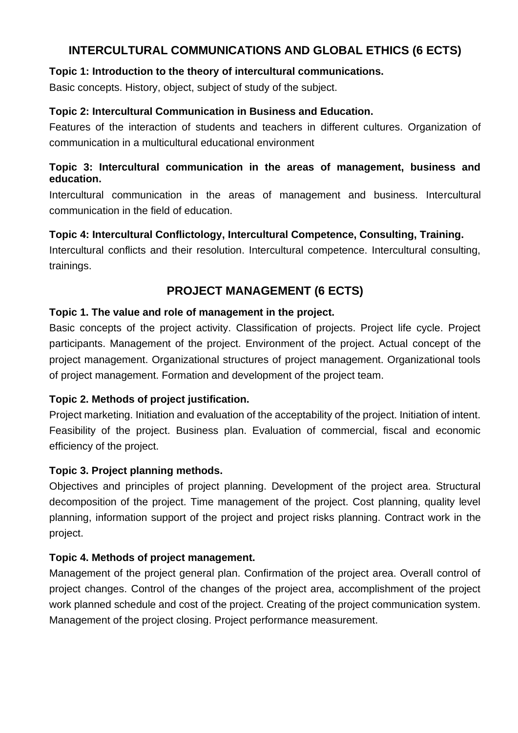# **INTERCULTURAL COMMUNICATIONS AND GLOBAL ETHICS (6 ECTS)**

#### **Topic 1: Introduction to the theory of intercultural communications.**

Basic concepts. History, object, subject of study of the subject.

#### **Topic 2: Intercultural Communication in Business and Education.**

Features of the interaction of students and teachers in different cultures. Organization of communication in a multicultural educational environment

#### **Topic 3: Intercultural communication in the areas of management, business and education.**

Intercultural communication in the areas of management and business. Intercultural communication in the field of education.

## **Topic 4: Intercultural Conflictology, Intercultural Competence, Consulting, Training.**

Intercultural conflicts and their resolution. Intercultural competence. Intercultural consulting, trainings.

# **PROJECT MANAGEMENT (6 ECTS)**

#### **Topic 1. The value and role of management in the project.**

Basic concepts of the project activity. Classification of projects. Project life cycle. Project participants. Management of the project. Environment of the project. Actual concept of the project management. Organizational structures of project management. Organizational tools of project management. Formation and development of the project team.

## **Topic 2. Methods of project justification.**

Project marketing. Initiation and evaluation of the acceptability of the project. Initiation of intent. Feasibility of the project. Business plan. Evaluation of commercial, fiscal and economic efficiency of the project.

## **Topic 3. Project planning methods.**

Objectives and principles of project planning. Development of the project area. Structural decomposition of the project. Time management of the project. Cost planning, quality level planning, information support of the project and project risks planning. Contract work in the project.

## **Topic 4. Methods of project management.**

Management of the project general plan. Confirmation of the project area. Overall control of project changes. Control of the changes of the project area, accomplishment of the project work planned schedule and cost of the project. Creating of the project communication system. Management of the project closing. Project performance measurement.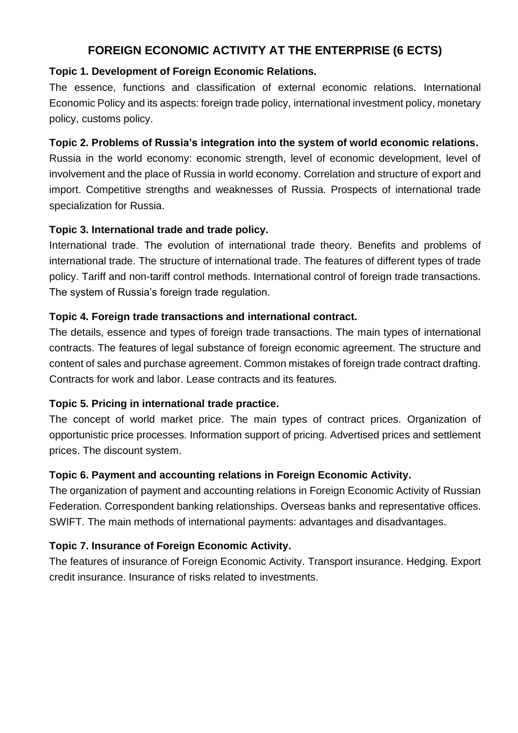# **FOREIGN ECONOMIC ACTIVITY AT THE ENTERPRISE (6 ECTS)**

## **Topic 1. Development of Foreign Economic Relations.**

The essence, functions and classification of external economic relations. International Economic Policy and its aspects: foreign trade policy, international investment policy, monetary policy, customs policy.

## **Topic 2. Problems of Russia's integration into the system of world economic relations.**

Russia in the world economy: economic strength, level of economic development, level of involvement and the place of Russia in world economy. Correlation and structure of export and import. Competitive strengths and weaknesses of Russia. Prospects of international trade specialization for Russia.

## **Topic 3. International trade and trade policy.**

International trade. The evolution of international trade theory. Benefits and problems of international trade. The structure of international trade. The features of different types of trade policy. Tariff and non-tariff control methods. International control of foreign trade transactions. The system of Russia's foreign trade regulation.

## **Topic 4. Foreign trade transactions and international contract.**

The details, essence and types of foreign trade transactions. The main types of international contracts. The features of legal substance of foreign economic agreement. The structure and content of sales and purchase agreement. Common mistakes of foreign trade contract drafting. Contracts for work and labor. Lease contracts and its features.

## **Topic 5. Pricing in international trade practice.**

The concept of world market price. The main types of contract prices. Organization of opportunistic price processes. Information support of pricing. Advertised prices and settlement prices. The discount system.

## **Topic 6. Payment and accounting relations in Foreign Economic Activity.**

The organization of payment and accounting relations in Foreign Economic Activity of Russian Federation. Correspondent banking relationships. Overseas banks and representative offices. SWIFT. The main methods of international payments: advantages and disadvantages.

# **Topic 7. Insurance of Foreign Economic Activity.**

The features of insurance of Foreign Economic Activity. Transport insurance. Hedging. Export credit insurance. Insurance of risks related to investments.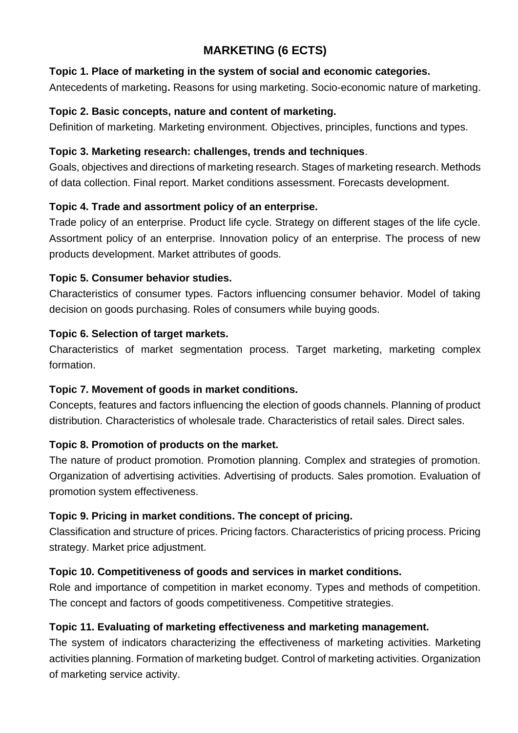# **MARKETING (6 ECTS)**

#### **Topic 1. Place of marketing in the system of social and economic categories.**

Antecedents of marketing**.** Reasons for using marketing. Socio-economic nature of marketing.

#### **Topic 2. Basic concepts, nature and content of marketing.**

Definition of marketing. Marketing environment. Objectives, principles, functions and types.

## **Topic 3. Marketing research: challenges, trends and techniques**.

Goals, objectives and directions of marketing research. Stages of marketing research. Methods of data collection. Final report. Market conditions assessment. Forecasts development.

## **Topic 4. Trade and assortment policy of an enterprise.**

Trade policy of an enterprise. Product life cycle. Strategy on different stages of the life cycle. Assortment policy of an enterprise. Innovation policy of an enterprise. The process of new products development. Market attributes of goods.

## **Topic 5. Consumer behavior studies.**

Characteristics of consumer types. Factors influencing consumer behavior. Model of taking decision on goods purchasing. Roles of consumers while buying goods.

## **Topic 6. Selection of target markets.**

Characteristics of market segmentation process. Target marketing, marketing complex formation.

## **Topic 7. Movement of goods in market conditions.**

Concepts, features and factors influencing the election of goods channels. Planning of product distribution. Characteristics of wholesale trade. Characteristics of retail sales. Direct sales.

## **Topic 8. Promotion of products on the market.**

The nature of product promotion. Promotion planning. Complex and strategies of promotion. Organization of advertising activities. Advertising of products. Sales promotion. Evaluation of promotion system effectiveness.

## **Topic 9. Pricing in market conditions. The concept of pricing.**

Classification and structure of prices. Pricing factors. Characteristics of pricing process. Pricing strategy. Market price adjustment.

## **Topic 10. Competitiveness of goods and services in market conditions.**

Role and importance of competition in market economy. Types and methods of competition. The concept and factors of goods competitiveness. Competitive strategies.

## **Topic 11. Evaluating of marketing effectiveness and marketing management.**

The system of indicators characterizing the effectiveness of marketing activities. Marketing activities planning. Formation of marketing budget. Control of marketing activities. Organization of marketing service activity.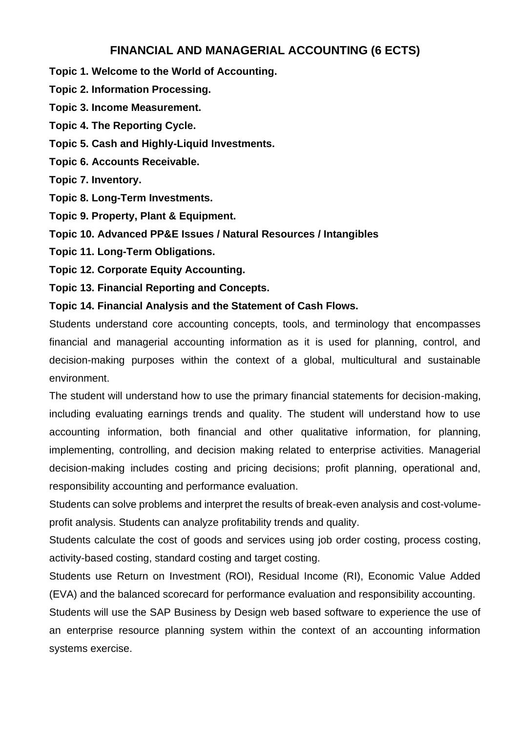## **FINANCIAL AND MANAGERIAL ACCOUNTING (6 ECTS)**

**Topic 1. Welcome to the World of Accounting.**

**Topic 2. Information Processing.**

**Topic 3. Income Measurement.**

**Topic 4. The Reporting Cycle.**

**Topic 5. Cash and Highly-Liquid Investments.**

**Topic 6. Accounts Receivable.**

**Topic 7. Inventory.**

**Topic 8. Long-Term Investments.**

**Topic 9. Property, Plant & Equipment.**

**Topic 10. Advanced PP&E Issues / Natural Resources / Intangibles**

**Topic 11. Long-Term Obligations.**

**Topic 12. Corporate Equity Accounting.**

**Topic 13. Financial Reporting and Concepts.**

**Topic 14. Financial Analysis and the Statement of Cash Flows.**

Students understand core accounting concepts, tools, and terminology that encompasses financial and managerial accounting information as it is used for planning, control, and decision-making purposes within the context of a global, multicultural and sustainable environment.

The student will understand how to use the primary financial statements for decision-making, including evaluating earnings trends and quality. The student will understand how to use accounting information, both financial and other qualitative information, for planning, implementing, controlling, and decision making related to enterprise activities. Managerial decision-making includes costing and pricing decisions; profit planning, operational and, responsibility accounting and performance evaluation.

Students can solve problems and interpret the results of break-even analysis and cost-volumeprofit analysis. Students can analyze profitability trends and quality.

Students calculate the cost of goods and services using job order costing, process costing, activity-based costing, standard costing and target costing.

Students use Return on Investment (ROI), Residual Income (RI), Economic Value Added (EVA) and the balanced scorecard for performance evaluation and responsibility accounting. Students will use the SAP Business by Design web based software to experience the use of an enterprise resource planning system within the context of an accounting information systems exercise.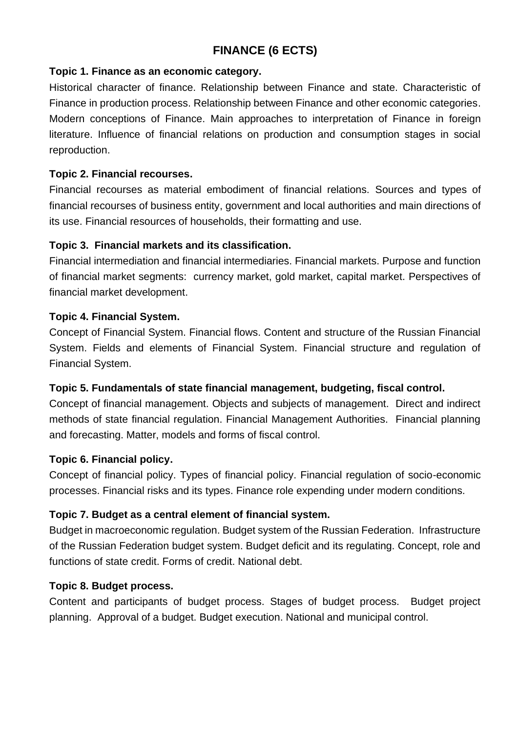# **FINANCE (6 ECTS)**

#### **Topic 1. Finance as an economic category.**

Historical character of finance. Relationship between Finance and state. Characteristic of Finance in production process. Relationship between Finance and other economic categories. Modern conceptions of Finance. Main approaches to interpretation of Finance in foreign literature. Influence of financial relations on production and consumption stages in social reproduction.

#### **Topic 2. Financial recourses.**

Financial recourses as material embodiment of financial relations. Sources and types of financial recourses of business entity, government and local authorities and main directions of its use. Financial resources of households, their formatting and use.

#### **Topic 3. Financial markets and its classification.**

Financial intermediation and financial intermediaries. Financial markets. Purpose and function of financial market segments: currency market, gold market, capital market. Perspectives of financial market development.

## **Topic 4. Financial System.**

Concept of Financial System. Financial flows. Content and structure of the Russian Financial System. Fields and elements of Financial System. Financial structure and regulation of Financial System.

## **Topic 5. Fundamentals of state financial management, budgeting, fiscal control.**

Concept of financial management. Objects and subjects of management. Direct and indirect methods of state financial regulation. Financial Management Authorities. Financial planning and forecasting. Matter, models and forms of fiscal control.

#### **Topic 6. Financial policy.**

Concept of financial policy. Types of financial policy. Financial regulation of socio-economic processes. Financial risks and its types. Finance role expending under modern conditions.

## **Topic 7. Budget as a central element of financial system.**

Budget in macroeconomic regulation. Budget system of the Russian Federation. Infrastructure of the Russian Federation budget system. Budget deficit and its regulating. Concept, role and functions of state credit. Forms of credit. National debt.

#### **Topic 8. Budget process.**

Content and participants of budget process. Stages of budget process. Budget project planning. Approval of a budget. Budget execution. National and municipal control.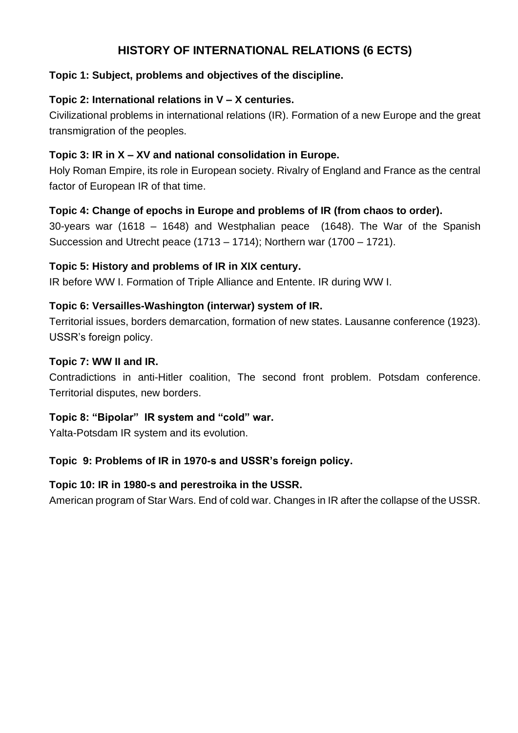# **HISTORY OF INTERNATIONAL RELATIONS (6 ECTS)**

## **Topic 1: Subject, problems and objectives of the discipline.**

# **Topic 2: International relations in V – X centuries.**

Civilizational problems in international relations (IR). Formation of a new Europe and the great transmigration of the peoples.

# **Topic 3: IR in X – XV and national consolidation in Europe.**

Holy Roman Empire, its role in European society. Rivalry of England and France as the central factor of European IR of that time.

# **Topic 4: Change of epochs in Europe and problems of IR (from chaos to order).**

30-years war (1618 – 1648) and Westphalian peace (1648). The War of the Spanish Succession and Utrecht peace (1713 – 1714); Northern war (1700 – 1721).

## **Topic 5: History and problems of IR in XIX century.**

IR before WW I. Formation of Triple Alliance and Entente. IR during WW I.

## **Topic 6: Versailles-Washington (interwar) system of IR.**

Territorial issues, borders demarcation, formation of new states. Lausanne conference (1923). USSR's foreign policy.

# **Topic 7: WW II and IR.**

Contradictions in anti-Hitler coalition, The second front problem. Potsdam conference. Territorial disputes, new borders.

## **Topic 8: "Bipolar" IR system and "cold" war.**

Yalta-Potsdam IR system and its evolution.

## **Topic 9: Problems of IR in 1970-s and USSR's foreign policy.**

## **Topic 10: IR in 1980-s and perestroika in the USSR.**

American program of Star Wars. End of cold war. Changes in IR after the collapse of the USSR.